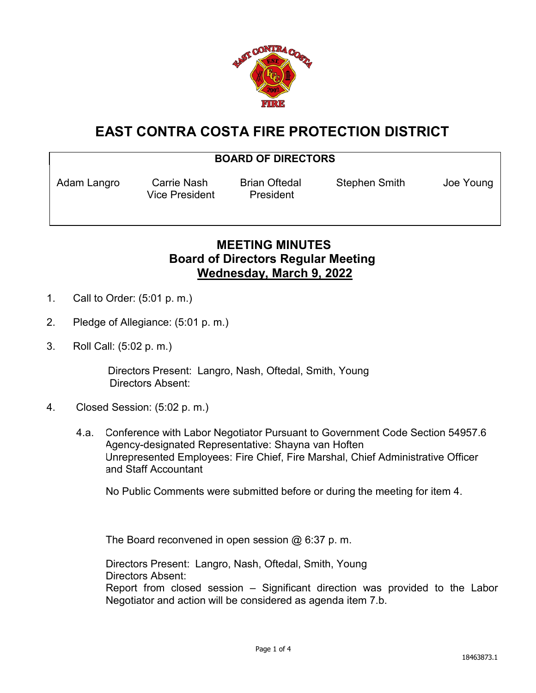

# **EAST CONTRA COSTA FIRE PROTECTION DISTRICT**

#### **BOARD OF DIRECTORS**

Vice President President

Adam Langro Carrie Nash Brian Oftedal Stephen Smith Joe Young

## **MEETING MINUTES Board of Directors Regular Meeting Wednesday, March 9, 2022**

- 1. Call to Order: (5:01 p. m.)
- 2. Pledge of Allegiance: (5:01 p. m.)
- 3. Roll Call: (5:02 p. m.)

 Directors Present: Langro, Nash, Oftedal, Smith, Young Directors Absent:

- 4. Closed Session: (5:02 p. m.)
	- 4.a. Conference with Labor Negotiator Pursuant to Government Code Section 54957.6 Agency-designated Representative: Shayna van Hoften Unrepresented Employees: Fire Chief, Fire Marshal, Chief Administrative Officer and Staff Accountant

No Public Comments were submitted before or during the meeting for item 4.

The Board reconvened in open session @ 6:37 p.m.

Directors Present: Langro, Nash, Oftedal, Smith, Young Directors Absent: Report from closed session – Significant direction was provided to the Labor Negotiator and action will be considered as agenda item 7.b.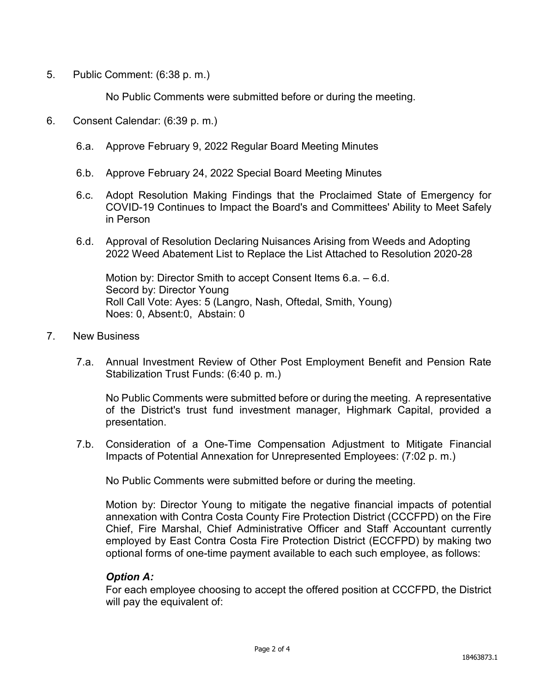5. Public Comment: (6:38 p. m.)

No Public Comments were submitted before or during the meeting.

- 6. Consent Calendar: (6:39 p. m.)
	- 6.a. Approve February 9, 2022 Regular Board Meeting Minutes
	- 6.b. Approve February 24, 2022 Special Board Meeting Minutes
	- 6.c. Adopt Resolution Making Findings that the Proclaimed State of Emergency for COVID-19 Continues to Impact the Board's and Committees' Ability to Meet Safely in Person
	- 6.d. Approval of Resolution Declaring Nuisances Arising from Weeds and Adopting 2022 Weed Abatement List to Replace the List Attached to Resolution 2020-28

Motion by: Director Smith to accept Consent Items 6.a. – 6.d. Secord by: Director Young Roll Call Vote: Ayes: 5 (Langro, Nash, Oftedal, Smith, Young) Noes: 0, Absent:0, Abstain: 0

- 7. New Business
	- 7.a. Annual Investment Review of Other Post Employment Benefit and Pension Rate Stabilization Trust Funds: (6:40 p. m.)

No Public Comments were submitted before or during the meeting. A representative of the District's trust fund investment manager, Highmark Capital, provided a presentation.

7.b. Consideration of a One-Time Compensation Adjustment to Mitigate Financial Impacts of Potential Annexation for Unrepresented Employees: (7:02 p. m.)

No Public Comments were submitted before or during the meeting.

Motion by: Director Young to mitigate the negative financial impacts of potential annexation with Contra Costa County Fire Protection District (CCCFPD) on the Fire Chief, Fire Marshal, Chief Administrative Officer and Staff Accountant currently employed by East Contra Costa Fire Protection District (ECCFPD) by making two optional forms of one-time payment available to each such employee, as follows:

#### *Option A:*

For each employee choosing to accept the offered position at CCCFPD, the District will pay the equivalent of: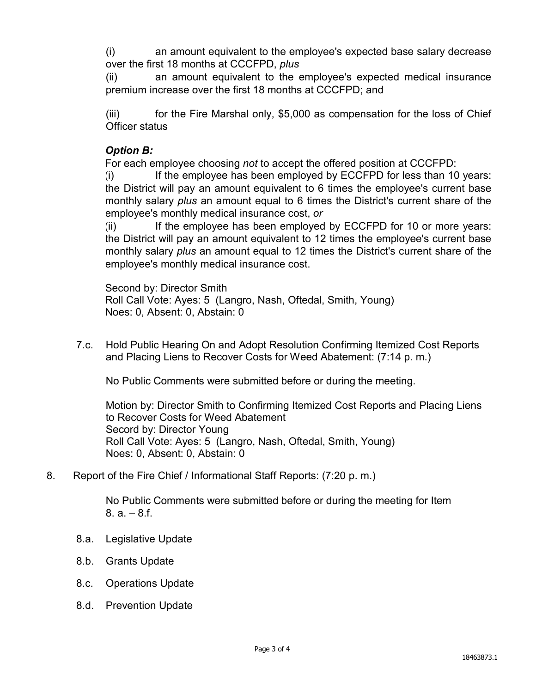(i) an amount equivalent to the employee's expected base salary decrease over the first 18 months at CCCFPD, *plus*

(ii) an amount equivalent to the employee's expected medical insurance premium increase over the first 18 months at CCCFPD; and

(iii) for the Fire Marshal only, \$5,000 as compensation for the loss of Chief Officer status

### *Option B:*

For each employee choosing *not* to accept the offered position at CCCFPD:

(i) If the employee has been employed by ECCFPD for less than 10 years: the District will pay an amount equivalent to 6 times the employee's current base monthly salary *plus* an amount equal to 6 times the District's current share of the employee's monthly medical insurance cost, *or*

(ii) If the employee has been employed by ECCFPD for 10 or more years: the District will pay an amount equivalent to 12 times the employee's current base monthly salary *plus* an amount equal to 12 times the District's current share of the employee's monthly medical insurance cost.

Second by: Director Smith Roll Call Vote: Ayes: 5 (Langro, Nash, Oftedal, Smith, Young) Noes: 0, Absent: 0, Abstain: 0

7.c. Hold Public Hearing On and Adopt Resolution Confirming Itemized Cost Reports and Placing Liens to Recover Costs for Weed Abatement: (7:14 p. m.)

No Public Comments were submitted before or during the meeting.

Motion by: Director Smith to Confirming Itemized Cost Reports and Placing Liens to Recover Costs for Weed Abatement Secord by: Director Young Roll Call Vote: Ayes: 5 (Langro, Nash, Oftedal, Smith, Young) Noes: 0, Absent: 0, Abstain: 0

8. Report of the Fire Chief / Informational Staff Reports: (7:20 p. m.)

No Public Comments were submitted before or during the meeting for Item  $8. a - 8. f$ .

- 8.a. Legislative Update
- 8.b. Grants Update
- 8.c. Operations Update
- 8.d. Prevention Update